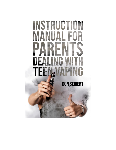# INSTRUCTION **ANUAL FOR** PARFI DE TEB NG VA!

**DON SEIBERT**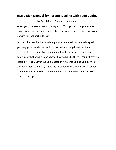## **Instruction Manual for Parents Dealing with Teen Vaping**

By Don Seibert, Founder of Vapenders When you purchase a new car, you get a 300 page, very comprehensive owner's manual that answers just about any question you might ever come up with for that particular car.

On the other hand, when you bring home a new baby from the hospital, you may get a few diapers and lotions that are compliments of their makers. There is no instruction manual that tells you what things might come up with that particular baby or how to handle them. You just have to "learn by living", as various unexpected things come up and you learn to deal with them "on the fly". It is the intention of this manual to assist you in yet another of those unexpected and worrisome things that has now risen to the top.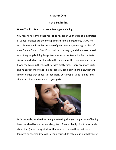## **Chapter One**

## **In the Beginning**

#### **When You first Learn that Your Teenager is Vaping**

You may have learned that your child has taken up the use of e-cigarettes or vapes (chances are the most popular brand among teens, "JUUL"™). Usually, teens will do this because of peer pressure, meaning another of their friends found it "cool" and insisted they try it, and the pressure to do what the group is doing is a potent motivator for teens. Unlike the taste of cigarettes which are pretty ugly in the beginning, the vape manufacturers flavor the liquid in them, so they taste pretty nice. There are more fruity and minty flavors of vape liquids than you can begin to imagine, with the kind of names that appeal to teenagers. (Just google "vape liquids" and check out all of the results that you get!)



Let's set aside, for the time being, the feeling that you might have of having been deceived by your son or daughter. They probably didn't think much about that (or anything at all for that matter!), when they first were tempted or coerced by a well-meaning friend, to take a puff on that vaping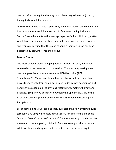device. After tasting it and seeing how others they admired enjoyed it, they quickly found it acceptable.

Once thy were that far into vaping, they knew that you likely wouldn't find it acceptable, so they did it in secret. In fact, most vaping is done in "secret" from the adults in the teenage vape user's lives. Unlike cigarettes which have a strong and easily recognizable odor, vaping is pretty odorless, and teens quickly find that the cloud of vapors themselves can easily be dissipated by blowing it into their sleeve!

#### **Easy to Conceal**

The most popular brand of Vaping device is called a JUUL™, which has achieved market penetration of more than 60% simply by making their device appear like a common computer USB flash drive (AKA "Thumbdrive"). Many parents and teachers know that the use of flash drives to move data from computer device to device is very common and hardly give a second look to anything resembling something homeworkoriented. (To give you an idea of how deep this epidemic is, 35% of the JUUL company was purchased recently for \$38 Billion by tobacco giant, Phillip Morris)

So, at some point, your teen has likely purchased their own vaping device (probably a JUUL™) which costs about \$55-60 for a starter kit and some "Pods" or "Mods" or "Tanks" or "Juice" for about \$15 to \$20 each. Where the teens today are getting this kind of money to support their nicotine addiction, is anybody's guess, but the fact is that they are getting it.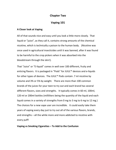#### **Chapter Two**

## **Vaping 101**

#### **A Closer look at Vaping**

All of that sounds nice and easy until you look a little more closely. That liquid or "juice", as they call it, contains strong amounts of the chemical nicotine, which is technically a poison to the human body. (Nicotine was once used in agricultural insecticides until it was banned, after it was found to be harmful to the crop pickers when it was absorbed into the bloodstream through the skin!).

That "Juice" or "E-liquid" comes in well over 100 different, fruity and enticing flavors. It is packaged in "Pods" for JUUL™ devices and e-liquids for other types of devices. The JUUL™ Pods contain .7 ml nicotine by volume and 3% or 5% by weight. There are more than 100 common brands of the juices for your teen to try out and each brand has several different flavors, sizes and strengths. It typically comes in 60 ml, 100ml, 120 ml or 200ml bottles (milliliters being the quantity of the liquid and each liquid comes in a variety of strengths from 0 mg to 3 mg to 6 mg to 12 mg.) The choices for a new vape user are incredible. It could easily take them years of vaping every day just to try out all of the various flavors, brands, and strengths – all the while more and more addicted to nicotine with every puff!

#### **Vaping vs Smoking Cigarettes – To Add to the Confusion**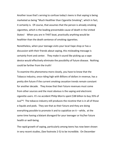Another issue that's serving to confuse today's teens is that vaping is being marketed as being "Much Healthier than Cigarette Smoking", which in fact, it certainly is. Of course, that assumes that the person is already smoking cigarettes, which is the leading preventable cause of death in the United States! When you are in THAT boat, practically anything would be healthier than the death sentence of smoking cigarettes.

Nonetheless, when your teenage visits your local Vape shop or has a discussion with their friends about vaping, this misleading message is certainly front and center. They make it sound like picking up a vape device would effectively eliminate the possibility of future disease. Nothing could be farther from the truth!

To examine this phenomena more closely, you have to know that the Tobacco industry, once riding high with Billions of dollars in revenue, has a pretty dim future if the current smoking cessation trends remain constant for another decade. They know that their future revenues must come from other sources and the most obvious is the vaping and electronic cigarette users. It's no accident Philip Morris spent \$38 billion to buy 35% of Juul™! The tobacco industry still produces the nicotine that is in all of those e-liquids and pods. They see that as their future and they are doing everything possible to promote it and to capialtize on it – while, at the same time having a blatant disregard for your teenager or his/her future health or well-being.

The rapid growth of vaping, particularly among teens has now been shown in very recent studies, (See footnote 2-5) to be incredible. On December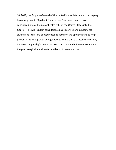18, 2018, the Surgeon General of the United States determined that vaping has now grown to "Epidemic" status (see Footnote 1) and is now considered one of the major health risks of the United States into the future. This will result in considerable public service announcements, studies and literature being created to focus on the epidemic and to help prevent its future growth by regulations. While this is critically important, it doesn't help today's teen vape users and their addiction to nicotine and the psychological, social, cultural effects of teen vape use.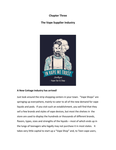## **Chapter Three**

## **The Vape Supplier Industry**



#### **A New Cottage Industry has arrived!**

Just look around the strip shopping centers in your town. "Vape Shops" are springing up everywhere, mainly to cater to all of the new demand for vape liquids and pods. If you visit such an establishment, you will find that they sell a few brands and styles of vape devices, but most the shelves in the store are used to display the hundreds or thousands of different brands, flavors, types, sizes and strengths of the liquids – most of which ends up in the lungs of teenagers who legally may not purchase it in most states. It takes very little capital to start up a "Vape Shop" and, to Teen vape users,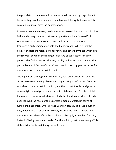the proprietors of such establishments are held in very high regard – not because they care for your child's health or well- being, but because it is easy money, if you have the right location.

I am sure that you've seen, read about or witnessed firsthand that nicotine is the underlying chemical that keeps cigarette smokers "hooked". In vaping, as in smoking, nicotine is ingested through the lungs and transferred quite immediately into the bloodstream. When it hits the brain, it triggers the release of endorphins and other hormones which give the smoker (or vaper) the feeling of pleasure or satisfaction for a brief period. This feeling wears off pretty quickly and, when that happens, the person feels a bit "uncomfortable" and that, in turn, triggers the desire for more nicotine to relieve that discomfort.

The vape user seemingly has a significant, but subtle advantage over the cigarette smoker in being able to quickly get a single puff or two from the vaporizer to relieve that discomfort, and then to set it aside. A cigarette smoker lights up a cigarette and, once lit, it takes about 10 puffs to finish the cigarette – most of which is ingested after the discomfort has already been relieved. So much of the cigarette is actually wasted in terms of fulfilling the addiction, where a vape user can casually take just a puff or two, whenever that discomfort strikes, without the need to inhale any more nicotine. Think of it as being able to take a pill, as needed, for pain, instead of being on an anesthesia. But the point is, that one or two puffs is still contributing to solidifying the addiction.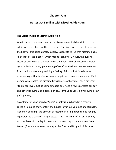#### **Chapter Four**

#### **Better Get Familiar with Nicotine Addiction!**

#### **The Vicious Cycle of Nicotine Addiction**

What I have briefly described, so far, is a non-medical description of the addiction to nicotine but there is more. The liver does its job of cleansing the body of this poison pretty quickly. Scientists tell us that nicotine has a "half-life" of just 2 hours, which means that, after 2 hours, the liver has cleansed away half of the nicotine in the body. This all becomes a vicious cycle. Inhale nicotine, get a feeling of comfort, the liver cleanses nicotine from the bloodstream, providing a feeling of discomfort, inhale more nicotine to get that feeling of comfort again, and on and on and on. Each person who inhales the nicotine (by cigarette or by vape), has a different "tolerance level. Just as some smokers only need a few cigarettes per day and others require 2 or 3 packs per day, some vape users only require a few puffs per day.

A container of vape liquid or "juice" usually is purchased in a reservoir called a Pod, and they contain the liquids in various volumes and strength. Generally speaking, the amount of nicotine in a single pod can be roughly equivalent to a pack of 20 cigarettes. This strength is often disguised by various flavors in the liquid, to make it more acceptable and attractive to teens. (There is a move underway at the Food and Drug Administration to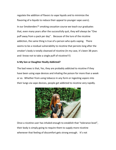regulate the addition of flavors to vape liquids and to minimize the flavoring of e-liquids to reduce their appeal to younger vape users).

In our Smokenders™ smoking cessation course we teach our graduates that, even many years after the successfully quit, they will always be "One puff away from a pack per day". Because of the lure of the nicotine addiction, the same thing is true of a person who quits vaping. There seems to be a residual vulnerability to nicotine that persists long after the smoker's body is totally cleansed of nicotine (In my case, it's been 38 years and I know not to take a single puff of nicotine!!!)

#### **Is My Son or Daughter Really Addicted?**

The bad news is that, Yes, they are probably addicted to nicotine if they have been using vape devices and inhaling the poison for more than a week or so. Whether from using tobacco in any form or ingesting vapors into their lungs via vape devices, people get addicted to nicotine very rapidly.



Once a nicotine user has inhaled enough to establish that "tolerance level", their body is simply going to require them to supply more nicotine whenever that feeling of discomfort gets strong enough. It's not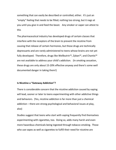something that can easily be described or controlled, either. It's just an "empty" feeling that needs to be filled; nothing too strong, but it nags at you until you give in and feed the beast. Any smoker or vaper can attest to this

The pharmaceutical industry has developed drugs of certain classes that interfere with the receptors of the brain to prevent the nicotine from causing that release of certain hormones, but those drugs are technically depressants and are rarely administered to teens whose brains are not yet fully developed. Therefore, drugs like Wellbutrin™, Zyban™, and Chantix™ are not available to address your child's addiction. (In smoking cessation, these drugs are only about 15-20% effective anyway and there's some well documented danger in taking them!)

#### **Is Nicotine a "Gateway Addiction"?**

There is considerable concern that the nicotine addiction caused by vaping will lead, sooner or later to teens experimenting with other addictive things and behaviors. (Yes, nicotine addiction is far more than just a chemical addiction – there are strong psychological and behavioral issues at play, also)

Studies suggest that teens who start with vaping frequently find themselves experimenting with cigarettes, too. Doing so, adds many harsh and even more hazardous chemicals being ingested through tobacco smoking. Those who use vapes as well as cigarettes to fulfill their need for nicotine are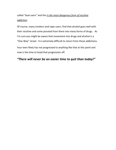called "dual users" and this *is the most dangerous form of nicotine addiction*.

Of course, many smokers and vape users, find that alcohol goes well with their nicotine and some proceed from there into many forms of drugs. As I'm sure you might be aware that movement into drugs and alcohol is a "One-Way" street. It is extremely difficult to return from those addictions.

Your teen likely has not progressed to anything like that at this point and now is the time to head that progression off.

## *"There will never be an easier time to quit than today!"*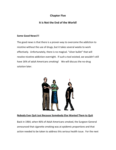## **Chapter Five**

## **It is Not the End of the World!**

#### **Some Good News!!!**

The good news is that there is a proven way to overcome the addiction to nicotine without the use of drugs, but it takes several weeks to work effectively. Unfortunately, there is no magical. "silver bullet" that will resolve nicotine addiction overnight. If such a tool existed, we wouldn't still have 16% of adult Americans smoking! We will discuss the no-drug solution later.



### **Nobody Ever Quit Just Because Somebody Else Wanted Them to Quit**

Back in 1964, when 46% of Adult Americans smoked, the Surgeon General announced that cigarette smoking was at *epidemic proportions* and that action needed to be taken to address this serious health issue. For the next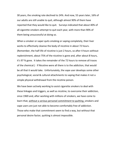30 years, the smoking rate declined to 24%. And now, 55 years later, 16% of our adults are still unable to quit, although almost 90% of them have reported that they would like to quit. Surveys indicated that about 40% of all cigarette smokers attempt to quit each year, with more than 90% of them being unsuccessful at doing so.

When a smoker or vaper quits smoking or vaping completely, their liver works to effectively cleanse the body of nicotine in about 72 hours. (Remember, the half-life of nicotine is just 2 hours, so after 4 hours without replenishment, about 75% of the nicotine is gone and, after about 8 hours, it's 97 % gone. It takes the remainder of the 72 hours to remove all traces of the chemical.) If Nicotine were all there is to the addiction, that would be all that it would take. Unfortunately, the vape user develops some other psychological, social & cultural attachments to vaping that makes it not a simple physical withdrawal from the nicotine poison.

We have been actively working to assist cigarette smokers to deal with these linkages and triggers, as well as nicotine, to overcome their addiction, since 1969 and, after working with millions of smokers, we have come to learn that, without a *serious personal commitment to quitting*, smokers and vape users are just not able to become comfortably free of addiction. Those who make that commitment seem to find a way, but without that personal desire factor, quitting is almost impossible.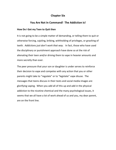### **Chapter Six**

## **You Are Not In Command! The Addiction is!**

#### **How Do I Get my Teen to Quit then**

It is not going to be a simple matter of demanding, or telling them to quit or otherwise forcing, cajoling, bribing, withholding of privileges, or gnashing of teeth. *Addictions just don't work that way.* In fact, those who have used the disciplinary or punishment approach have done so at the risk of alienating their teen and/or driving them to vape in heavier amounts and more secretly than ever.

The peer pressure that your son or daughter is under serves to reinforce their decision to vape and competes with any action that you or other parents might take to "regulate" or to "legislate" vape disuse. The messages that teens discuss in their texts and social media images are glorifying vaping. When you add all of this up and add in the physical addiction to the nicotine chemical and the many psychological issues, it seems that we all have a lot of work ahead of us and you, my dear parent, are on the front line.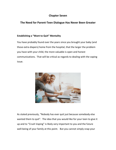## **Chapter Seven**

## **The Need for Parent-Teen Dialogue Has Never Been Greater**

#### **Establishing a "Want to Quit" Mentality**

You have probably found over the years since you brought your baby (and those extra diapers) home from the hospital, that the larger the problem you have with your child, the more valuable is open and honest communications. That will be critical as regards to dealing with the vaping issue.



As stated previously, "Nobody has ever quit just because somebody else wanted them to quit". The idea that you would like for your teen to give it up and to "Crush Vaping" is likely very important to you and the future well-being of your family at this point. But you cannot simply snap your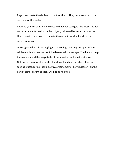fingers and make the decision to quit for them. They have to come to that decision for themselves.

It will be your responsibility to ensure that your teen gets the most truthful and accurate information on the subject, delivered by respected sources like yourself. Help them to come to the correct decision for all of the correct reasons.

Once again, when discussing logical reasoning, that may be a part of the adolescent brain that has not fully developed at their age. You have to help them understand the magnitude of the situation and what is at stake. Getting too emotional tends to shut down the dialogue. (Body language, such as crossed arms, looking away, or statements like "whatever", on the part of either parent or teen, will not be helpful!)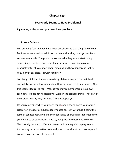#### **Chapter Eight**

#### **Everybody Seems to Have Problems!**

#### **Right now, both you and your teen have problems!**

#### **A. Your Problem**

You probably feel that you have been deceived and that the pride of your family now has a serious addiction problem (that they don't yet realize is very serious at all). You probably wonder why they would start doing something as insidious and potentially harmful as ingesting nicotine, especially after all you know about smoking and how dangerous that is. Why didn't they discuss it with you first?

You likely think that they are exercising blatant disregard for their health and safety just for a few moments puffing on some electronic device. All of this seems illogical to you. Well, as you may remember from your own teen days, logic is not necessarily at work in the teenage mind. That part of their brain literally may not have fully developed yet.

Do you remember when you were young, and a friend dared you to try a cigarette? Most of us adults experimented secretly with that, finding the taste of tobacco repulsive and the experience of breathing that smoke into your lungs to be suffocating. And so, you probably chose not to smoke. This is really not much different than experimenting with vaping except that vaping has a lot better taste and, due to the almost odorless vapors, it is easier to get away with in secret.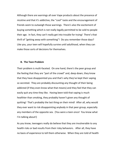Although there are warnings all over Vape products about the presence of nicotine and that it's addictive, the "cool" taste and the encouragement of friends seem to outweigh those warnings. There's also the excitement of buying something which is not really legally permitted to be sold to people their age. In fact, they can't really get into trouble for trying! There's that thrill of "getting away with something"! Do you remember those days? Like you, your teen will hopefully survive until adulthood, when they can make those sorts of decisions for themselves.

#### **B. The Teen Problem**

Their problem is multi-faceted. On one hand, there's the peer group and the feeling that they are "part of the crowd" and, deep down, they know that they have disappointed you and that's why they've kept their vaping so secreted. They are probably discounting any thought of their being addicted (if they even know what that means) and they feel that they can easily quit any time they like. Having been told that vaping is much healthier than smoking, they probably haven't given any thought of quitting! That's probably the last thing on their mind! After all, why would they ever want to risk disappointing anybody in that peer group, especially any members of the opposite sex. (You were a teen once! You know what I'm talking about!)

As you know, teenagers really do believe that they are invulnerable to any health risks or bad results from their risky behaviors. After all, they have no basis of experience to tell them otherwise. When they are told of health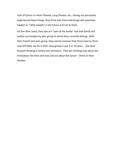risks of Cancer or Heart Disease, Lung Disease, etc., having not personally experienced these things, they think that those bad things will somehow happen to "other people" in the future and not to them.

On the other hand, they also are "part of the family" and that family will outlive any temporary peer group to which they currently belong. With their friends and peer group, they cannot envision that those close to them now will likely not be in their close group in just 5 or 10 years. But their forward thinking is limited and immature. They are thinking only about the immediate; the here and now and not about the future – theirs or their families.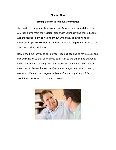#### **Chapter Nine**

#### **Forming a Team to Achieve Commitment**

This is where communications comes in. Among the responsibilities that you took home from the hospital, along with your baby and those diapers, was the responsibility to help them out when they go astray and get themselves up a creek! Now is the time for you to help them return to the drug free path to adulthood.

Now is the time for you to put on your listening cap and to have a calm and frank discussion so that each of you can listen to the other, find out what they know and are thinking and how interested they might be in altering their course. Remember – *Nobody has ever quit just because somebody else wants them to quit! A personal commitment to quitting will be absolutely necessary if they are ever to quit.*

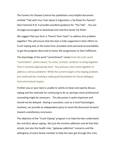The Centers for Disease Control has published a very helpful document entitled "Talk with Your Teen about E-Cigarettes; a Tip Sheet for Parents" (See Footnote # 4) It provides excellent guidance for "The Talk". You are strongly encouraged to download and read this handy Tip Sheet.

We suggest that you form a "Parent-Teen Team" to address this problem together! This will ensure that the teen is fully supported in their efforts to Crush Vaping and, at the same time, provided some personal accountability to get the program done and to honor the assignments to their fulfilment.

The etymology of the word "commitment" comes from the Latin word "committere", which means "to unite, connect, combine, to bring together. That is certainly appropriate here. You and your teen come together to address a serious problem! While the current target is the Vaping problem, you could well be creating a really good foundation for future dialogue, trust and mutual respect.

If either you or your teen is unable to calmly sit down and openly discuss vaping and the rationale for continuing to do so, perhaps some professional counseling might be necessary. This discussion is quite important and should not be delayed. Having a counselor, such as a local Psychologist, involved, can provide an independent party to move the discussion forward toward a satisfactory conclusion.

The objective of the "Crush Vaping" program is to help the teen understand the real facts about vaping. Not just the nicotine addiction and all that that entails, but also the health risks, "gateway addiction" concerns and the willingness of every family member to help the teen get through this crisis.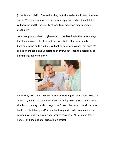(It really is a crisis!!!) The earlier they quit, the easier it will be for them to do so. The longer one vapes, the more deeply entrenched the addiction will become and the possibility of long-term addiction may become a probability!

Your teen probably has not given much consideration to the various ways that their vaping is affecting and can potentially affect your family. Communication on this subject will not be easy for anybody, but once it's all out on the table and understood by everybody, then the possibility of quitting is greatly enhanced.



It will likely take several conversations on the subject for all of the issues to come out, and in the meantime, it will probably do no good to ask them to simply stop vaping. Addictions just don't work that way. You will have to hold your disciplinary and/or punitive thoughts in order to maintain open communications while you work through this crisis. At this point, frank, honest, and unemotional discussion is critical.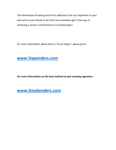The elimination of vaping and of the addiction is far too important to your teen and to your family to let short term emotions get in the way of achieving a sincere commitment to Crushing Vapes!

For more information about how to "Crush Vapes", please go to:

## **[www.Vapenders.com](file:///C:/Users/cruis/Dropbox/SE%20Intl%20Collaboration/www.Vapenders.com)**

**For more information on the best method to quit smoking cigarettes:**

# **[www.Smokenders.com](file:///C:/Users/cruis/Dropbox/SE%20Intl%20Collaboration/www.Smokenders.com)**